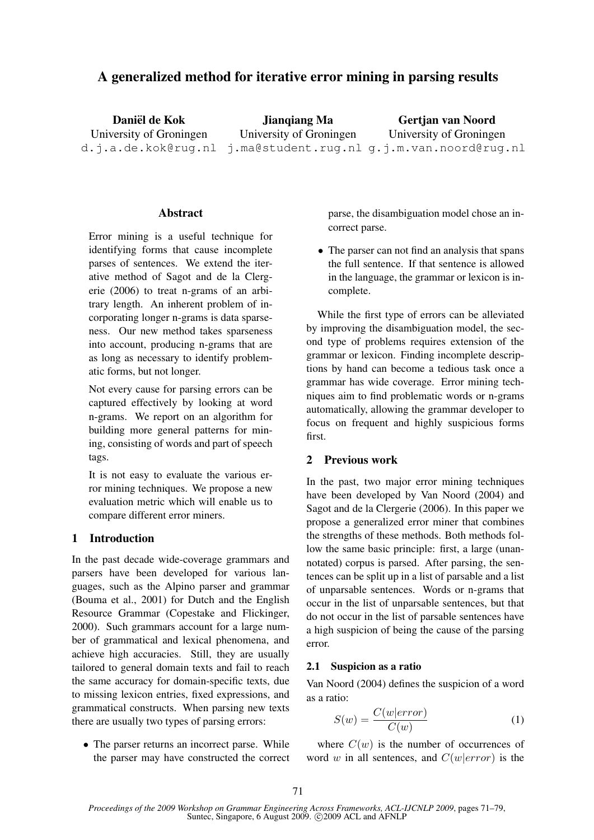# A generalized method for iterative error mining in parsing results

Daniël de Kok University of Groningen d.j.a.de.kok@rug.nl j.ma@student.rug.nl g.j.m.van.noord@rug.nl Jianqiang Ma University of Groningen Gertjan van Noord University of Groningen

# Abstract

Error mining is a useful technique for identifying forms that cause incomplete parses of sentences. We extend the iterative method of Sagot and de la Clergerie (2006) to treat n-grams of an arbitrary length. An inherent problem of incorporating longer n-grams is data sparseness. Our new method takes sparseness into account, producing n-grams that are as long as necessary to identify problematic forms, but not longer.

Not every cause for parsing errors can be captured effectively by looking at word n-grams. We report on an algorithm for building more general patterns for mining, consisting of words and part of speech tags.

It is not easy to evaluate the various error mining techniques. We propose a new evaluation metric which will enable us to compare different error miners.

### 1 Introduction

In the past decade wide-coverage grammars and parsers have been developed for various languages, such as the Alpino parser and grammar (Bouma et al., 2001) for Dutch and the English Resource Grammar (Copestake and Flickinger, 2000). Such grammars account for a large number of grammatical and lexical phenomena, and achieve high accuracies. Still, they are usually tailored to general domain texts and fail to reach the same accuracy for domain-specific texts, due to missing lexicon entries, fixed expressions, and grammatical constructs. When parsing new texts there are usually two types of parsing errors:

• The parser returns an incorrect parse. While the parser may have constructed the correct parse, the disambiguation model chose an incorrect parse.

• The parser can not find an analysis that spans the full sentence. If that sentence is allowed in the language, the grammar or lexicon is incomplete.

While the first type of errors can be alleviated by improving the disambiguation model, the second type of problems requires extension of the grammar or lexicon. Finding incomplete descriptions by hand can become a tedious task once a grammar has wide coverage. Error mining techniques aim to find problematic words or n-grams automatically, allowing the grammar developer to focus on frequent and highly suspicious forms first.

# 2 Previous work

In the past, two major error mining techniques have been developed by Van Noord (2004) and Sagot and de la Clergerie (2006). In this paper we propose a generalized error miner that combines the strengths of these methods. Both methods follow the same basic principle: first, a large (unannotated) corpus is parsed. After parsing, the sentences can be split up in a list of parsable and a list of unparsable sentences. Words or n-grams that occur in the list of unparsable sentences, but that do not occur in the list of parsable sentences have a high suspicion of being the cause of the parsing error.

### 2.1 Suspicion as a ratio

Van Noord (2004) defines the suspicion of a word as a ratio:

$$
S(w) = \frac{C(w|error)}{C(w)}\tag{1}
$$

where  $C(w)$  is the number of occurrences of word w in all sentences, and  $C(w|error)$  is the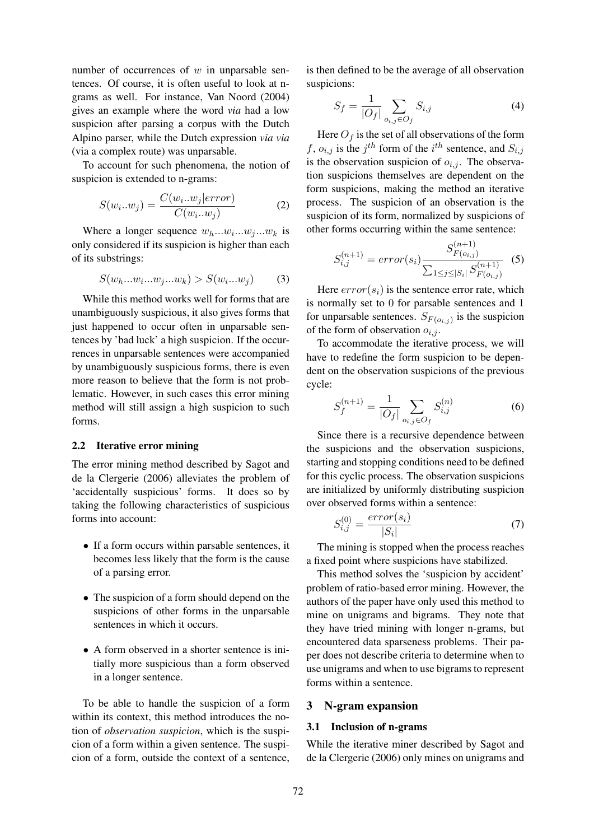number of occurrences of  $w$  in unparsable sentences. Of course, it is often useful to look at ngrams as well. For instance, Van Noord (2004) gives an example where the word *via* had a low suspicion after parsing a corpus with the Dutch Alpino parser, while the Dutch expression *via via* (via a complex route) was unparsable.

To account for such phenomena, the notion of suspicion is extended to n-grams:

$$
S(w_i...w_j) = \frac{C(w_i...w_j|error)}{C(w_i...w_j)}
$$
 (2)

Where a longer sequence  $w_h...w_i...w_j...w_k$  is only considered if its suspicion is higher than each of its substrings:

$$
S(w_h...w_i...w_j...w_k) > S(w_i...w_j)
$$
 (3)

While this method works well for forms that are unambiguously suspicious, it also gives forms that just happened to occur often in unparsable sentences by 'bad luck' a high suspicion. If the occurrences in unparsable sentences were accompanied by unambiguously suspicious forms, there is even more reason to believe that the form is not problematic. However, in such cases this error mining method will still assign a high suspicion to such forms.

### 2.2 Iterative error mining

The error mining method described by Sagot and de la Clergerie (2006) alleviates the problem of 'accidentally suspicious' forms. It does so by taking the following characteristics of suspicious forms into account:

- If a form occurs within parsable sentences, it becomes less likely that the form is the cause of a parsing error.
- The suspicion of a form should depend on the suspicions of other forms in the unparsable sentences in which it occurs.
- A form observed in a shorter sentence is initially more suspicious than a form observed in a longer sentence.

To be able to handle the suspicion of a form within its context, this method introduces the notion of *observation suspicion*, which is the suspicion of a form within a given sentence. The suspicion of a form, outside the context of a sentence,

is then defined to be the average of all observation suspicions:

$$
S_f = \frac{1}{|O_f|} \sum_{o_{i,j} \in O_f} S_{i,j} \tag{4}
$$

Here  $O_f$  is the set of all observations of the form f,  $o_{i,j}$  is the j<sup>th</sup> form of the i<sup>th</sup> sentence, and  $S_{i,j}$ is the observation suspicion of  $o_{i,j}$ . The observation suspicions themselves are dependent on the form suspicions, making the method an iterative process. The suspicion of an observation is the suspicion of its form, normalized by suspicions of other forms occurring within the same sentence:

$$
S_{i,j}^{(n+1)} = error(s_i) \frac{S_{F(o_{i,j})}^{(n+1)}}{\sum_{1 \le j \le |S_i|} S_{F(o_{i,j})}^{(n+1)}} \tag{5}
$$

Here  $error(s_i)$  is the sentence error rate, which is normally set to 0 for parsable sentences and 1 for unparsable sentences.  $S_{F(o_{i,j})}$  is the suspicion of the form of observation  $o_{i,j}$ .

To accommodate the iterative process, we will have to redefine the form suspicion to be dependent on the observation suspicions of the previous cycle:

$$
S_f^{(n+1)} = \frac{1}{|O_f|} \sum_{o_{i,j} \in O_f} S_{i,j}^{(n)} \tag{6}
$$

Since there is a recursive dependence between the suspicions and the observation suspicions, starting and stopping conditions need to be defined for this cyclic process. The observation suspicions are initialized by uniformly distributing suspicion over observed forms within a sentence:

$$
S_{i,j}^{(0)} = \frac{error(s_i)}{|S_i|} \tag{7}
$$

The mining is stopped when the process reaches a fixed point where suspicions have stabilized.

This method solves the 'suspicion by accident' problem of ratio-based error mining. However, the authors of the paper have only used this method to mine on unigrams and bigrams. They note that they have tried mining with longer n-grams, but encountered data sparseness problems. Their paper does not describe criteria to determine when to use unigrams and when to use bigrams to represent forms within a sentence.

#### 3 N-gram expansion

#### 3.1 Inclusion of n-grams

While the iterative miner described by Sagot and de la Clergerie (2006) only mines on unigrams and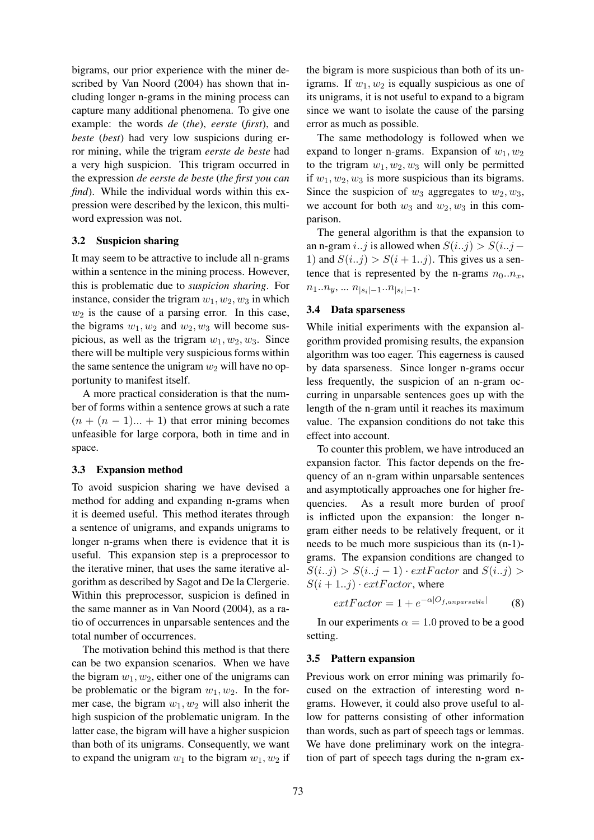bigrams, our prior experience with the miner described by Van Noord (2004) has shown that including longer n-grams in the mining process can capture many additional phenomena. To give one example: the words *de* (*the*), *eerste* (*first*), and *beste* (*best*) had very low suspicions during error mining, while the trigram *eerste de beste* had a very high suspicion. This trigram occurred in the expression *de eerste de beste* (*the first you can find*). While the individual words within this expression were described by the lexicon, this multiword expression was not.

#### 3.2 Suspicion sharing

It may seem to be attractive to include all n-grams within a sentence in the mining process. However, this is problematic due to *suspicion sharing*. For instance, consider the trigram  $w_1, w_2, w_3$  in which  $w_2$  is the cause of a parsing error. In this case, the bigrams  $w_1, w_2$  and  $w_2, w_3$  will become suspicious, as well as the trigram  $w_1, w_2, w_3$ . Since there will be multiple very suspicious forms within the same sentence the unigram  $w_2$  will have no opportunity to manifest itself.

A more practical consideration is that the number of forms within a sentence grows at such a rate  $(n + (n - 1)... + 1)$  that error mining becomes unfeasible for large corpora, both in time and in space.

### 3.3 Expansion method

To avoid suspicion sharing we have devised a method for adding and expanding n-grams when it is deemed useful. This method iterates through a sentence of unigrams, and expands unigrams to longer n-grams when there is evidence that it is useful. This expansion step is a preprocessor to the iterative miner, that uses the same iterative algorithm as described by Sagot and De la Clergerie. Within this preprocessor, suspicion is defined in the same manner as in Van Noord (2004), as a ratio of occurrences in unparsable sentences and the total number of occurrences.

The motivation behind this method is that there can be two expansion scenarios. When we have the bigram  $w_1, w_2$ , either one of the unigrams can be problematic or the bigram  $w_1, w_2$ . In the former case, the bigram  $w_1, w_2$  will also inherit the high suspicion of the problematic unigram. In the latter case, the bigram will have a higher suspicion than both of its unigrams. Consequently, we want to expand the unigram  $w_1$  to the bigram  $w_1, w_2$  if

the bigram is more suspicious than both of its unigrams. If  $w_1, w_2$  is equally suspicious as one of its unigrams, it is not useful to expand to a bigram since we want to isolate the cause of the parsing error as much as possible.

The same methodology is followed when we expand to longer n-grams. Expansion of  $w_1, w_2$ to the trigram  $w_1, w_2, w_3$  will only be permitted if  $w_1, w_2, w_3$  is more suspicious than its bigrams. Since the suspicion of  $w_3$  aggregates to  $w_2, w_3$ , we account for both  $w_3$  and  $w_2, w_3$  in this comparison.

The general algorithm is that the expansion to an n-gram *i..j* is allowed when  $S(i..j) > S(i..j-$ 1) and  $S(i..j) > S(i+1..j)$ . This gives us a sentence that is represented by the n-grams  $n_0 \nvert n_x$ ,  $n_1...n_y, ... n_{|s_i|-1}...n_{|s_i|-1}.$ 

# 3.4 Data sparseness

While initial experiments with the expansion algorithm provided promising results, the expansion algorithm was too eager. This eagerness is caused by data sparseness. Since longer n-grams occur less frequently, the suspicion of an n-gram occurring in unparsable sentences goes up with the length of the n-gram until it reaches its maximum value. The expansion conditions do not take this effect into account.

To counter this problem, we have introduced an expansion factor. This factor depends on the frequency of an n-gram within unparsable sentences and asymptotically approaches one for higher frequencies. As a result more burden of proof is inflicted upon the expansion: the longer ngram either needs to be relatively frequent, or it needs to be much more suspicious than its (n-1) grams. The expansion conditions are changed to  $S(i..j) > S(i..j-1) \cdot extFactor$  and  $S(i..j) >$  $S(i + 1..j) \cdot extFactor$ , where

$$
extFactor = 1 + e^{-\alpha|O_{f,unparse}} \tag{8}
$$

In our experiments  $\alpha = 1.0$  proved to be a good setting.

### 3.5 Pattern expansion

Previous work on error mining was primarily focused on the extraction of interesting word ngrams. However, it could also prove useful to allow for patterns consisting of other information than words, such as part of speech tags or lemmas. We have done preliminary work on the integration of part of speech tags during the n-gram ex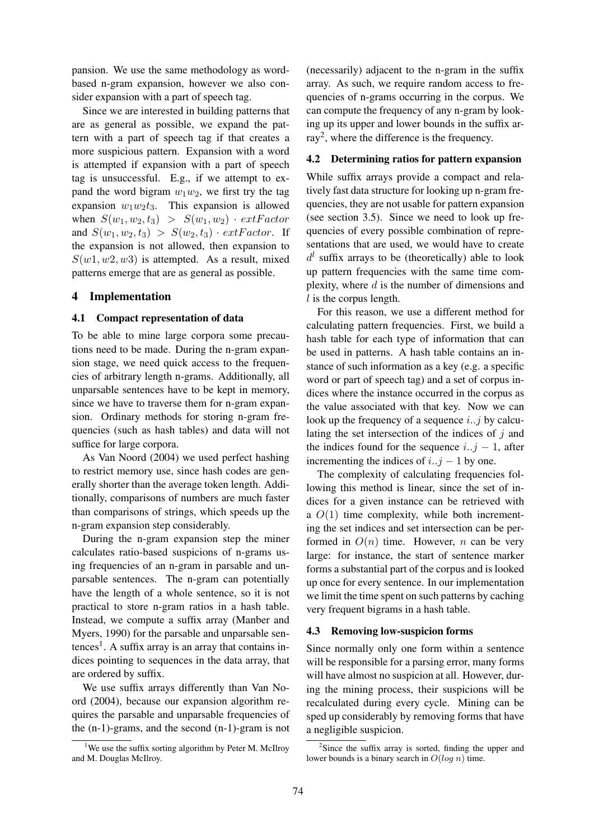pansion. We use the same methodology as wordbased n-gram expansion, however we also consider expansion with a part of speech tag.

Since we are interested in building patterns that are as general as possible, we expand the pattern with a part of speech tag if that creates a more suspicious pattern. Expansion with a word is attempted if expansion with a part of speech tag is unsuccessful. E.g., if we attempt to expand the word bigram  $w_1w_2$ , we first try the tag expansion  $w_1w_2t_3$ . This expansion is allowed when  $S(w_1, w_2, t_3) > S(w_1, w_2) \cdot extFactor$ and  $S(w_1, w_2, t_3) > S(w_2, t_3) \cdot extFactor$ . If the expansion is not allowed, then expansion to  $S(w1, w2, w3)$  is attempted. As a result, mixed patterns emerge that are as general as possible.

### 4 Implementation

#### 4.1 Compact representation of data

To be able to mine large corpora some precautions need to be made. During the n-gram expansion stage, we need quick access to the frequencies of arbitrary length n-grams. Additionally, all unparsable sentences have to be kept in memory, since we have to traverse them for n-gram expansion. Ordinary methods for storing n-gram frequencies (such as hash tables) and data will not suffice for large corpora.

As Van Noord (2004) we used perfect hashing to restrict memory use, since hash codes are generally shorter than the average token length. Additionally, comparisons of numbers are much faster than comparisons of strings, which speeds up the n-gram expansion step considerably.

During the n-gram expansion step the miner calculates ratio-based suspicions of n-grams using frequencies of an n-gram in parsable and unparsable sentences. The n-gram can potentially have the length of a whole sentence, so it is not practical to store n-gram ratios in a hash table. Instead, we compute a suffix array (Manber and Myers, 1990) for the parsable and unparsable sen $tences<sup>1</sup>$ . A suffix array is an array that contains indices pointing to sequences in the data array, that are ordered by suffix.

We use suffix arrays differently than Van Noord (2004), because our expansion algorithm requires the parsable and unparsable frequencies of the (n-1)-grams, and the second (n-1)-gram is not

(necessarily) adjacent to the n-gram in the suffix array. As such, we require random access to frequencies of n-grams occurring in the corpus. We can compute the frequency of any n-gram by looking up its upper and lower bounds in the suffix array<sup>2</sup>, where the difference is the frequency.

### 4.2 Determining ratios for pattern expansion

While suffix arrays provide a compact and relatively fast data structure for looking up n-gram frequencies, they are not usable for pattern expansion (see section 3.5). Since we need to look up frequencies of every possible combination of representations that are used, we would have to create  $d^{l}$  suffix arrays to be (theoretically) able to look up pattern frequencies with the same time complexity, where  $d$  is the number of dimensions and  $l$  is the corpus length.

For this reason, we use a different method for calculating pattern frequencies. First, we build a hash table for each type of information that can be used in patterns. A hash table contains an instance of such information as a key (e.g. a specific word or part of speech tag) and a set of corpus indices where the instance occurred in the corpus as the value associated with that key. Now we can look up the frequency of a sequence  $i$ ...j by calculating the set intersection of the indices of  $j$  and the indices found for the sequence  $i..j - 1$ , after incrementing the indices of  $i..j - 1$  by one.

The complexity of calculating frequencies following this method is linear, since the set of indices for a given instance can be retrieved with a  $O(1)$  time complexity, while both incrementing the set indices and set intersection can be performed in  $O(n)$  time. However, *n* can be very large: for instance, the start of sentence marker forms a substantial part of the corpus and is looked up once for every sentence. In our implementation we limit the time spent on such patterns by caching very frequent bigrams in a hash table.

#### 4.3 Removing low-suspicion forms

Since normally only one form within a sentence will be responsible for a parsing error, many forms will have almost no suspicion at all. However, during the mining process, their suspicions will be recalculated during every cycle. Mining can be sped up considerably by removing forms that have a negligible suspicion.

<sup>&</sup>lt;sup>1</sup>We use the suffix sorting algorithm by Peter M. McIlroy and M. Douglas McIlroy.

<sup>&</sup>lt;sup>2</sup>Since the suffix array is sorted, finding the upper and lower bounds is a binary search in  $O(log n)$  time.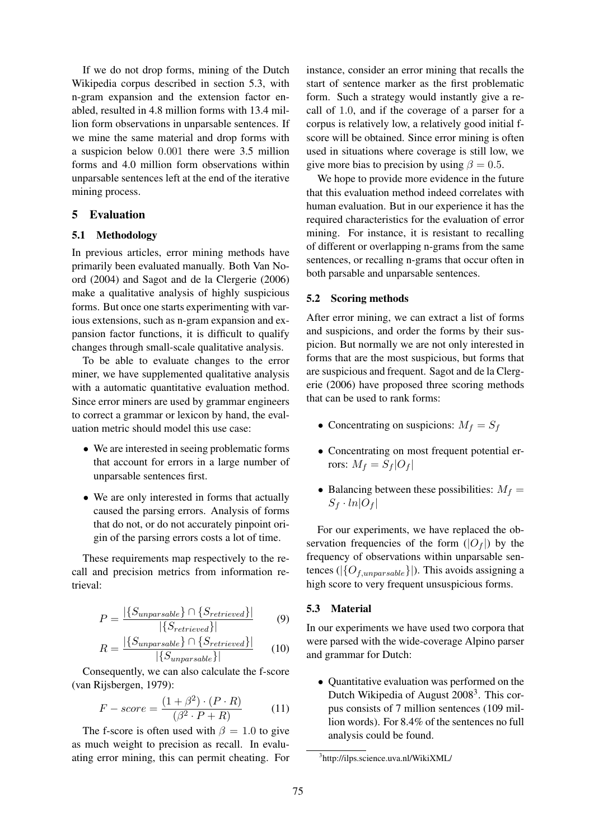If we do not drop forms, mining of the Dutch Wikipedia corpus described in section 5.3, with n-gram expansion and the extension factor enabled, resulted in 4.8 million forms with 13.4 million form observations in unparsable sentences. If we mine the same material and drop forms with a suspicion below 0.001 there were 3.5 million forms and 4.0 million form observations within unparsable sentences left at the end of the iterative mining process.

# 5 Evaluation

### 5.1 Methodology

In previous articles, error mining methods have primarily been evaluated manually. Both Van Noord (2004) and Sagot and de la Clergerie (2006) make a qualitative analysis of highly suspicious forms. But once one starts experimenting with various extensions, such as n-gram expansion and expansion factor functions, it is difficult to qualify changes through small-scale qualitative analysis.

To be able to evaluate changes to the error miner, we have supplemented qualitative analysis with a automatic quantitative evaluation method. Since error miners are used by grammar engineers to correct a grammar or lexicon by hand, the evaluation metric should model this use case:

- We are interested in seeing problematic forms that account for errors in a large number of unparsable sentences first.
- We are only interested in forms that actually caused the parsing errors. Analysis of forms that do not, or do not accurately pinpoint origin of the parsing errors costs a lot of time.

These requirements map respectively to the recall and precision metrics from information retrieval:

$$
P = \frac{|\{S_{unparse}\} \cap \{S_{retrieved}\}|}{|\{S_{retrieved}\}|} \tag{9}
$$

$$
R = \frac{|\{S_{unparse}\} \cap \{S_{retrieved}\}|}{|\{S_{unparse}\}|} \qquad (10)
$$

Consequently, we can also calculate the f-score (van Rijsbergen, 1979):

$$
F-score = \frac{(1+\beta^2) \cdot (P \cdot R)}{(\beta^2 \cdot P + R)} \tag{11}
$$

The f-score is often used with  $\beta = 1.0$  to give as much weight to precision as recall. In evaluating error mining, this can permit cheating. For

instance, consider an error mining that recalls the start of sentence marker as the first problematic form. Such a strategy would instantly give a recall of 1.0, and if the coverage of a parser for a corpus is relatively low, a relatively good initial fscore will be obtained. Since error mining is often used in situations where coverage is still low, we give more bias to precision by using  $\beta = 0.5$ .

We hope to provide more evidence in the future that this evaluation method indeed correlates with human evaluation. But in our experience it has the required characteristics for the evaluation of error mining. For instance, it is resistant to recalling of different or overlapping n-grams from the same sentences, or recalling n-grams that occur often in both parsable and unparsable sentences.

#### 5.2 Scoring methods

After error mining, we can extract a list of forms and suspicions, and order the forms by their suspicion. But normally we are not only interested in forms that are the most suspicious, but forms that are suspicious and frequent. Sagot and de la Clergerie (2006) have proposed three scoring methods that can be used to rank forms:

- Concentrating on suspicions:  $M_f = S_f$
- Concentrating on most frequent potential errors:  $M_f = S_f |O_f|$
- Balancing between these possibilities:  $M_f =$  $S_f \cdot ln|O_f|$

For our experiments, we have replaced the observation frequencies of the form  $(|O_f|)$  by the frequency of observations within unparsable sentences ( $|\{O_{f,unparse}}\|$ ). This avoids assigning a high score to very frequent unsuspicious forms.

### 5.3 Material

In our experiments we have used two corpora that were parsed with the wide-coverage Alpino parser and grammar for Dutch:

• Quantitative evaluation was performed on the Dutch Wikipedia of August 2008<sup>3</sup>. This corpus consists of 7 million sentences (109 million words). For 8.4% of the sentences no full analysis could be found.

<sup>3</sup> http://ilps.science.uva.nl/WikiXML/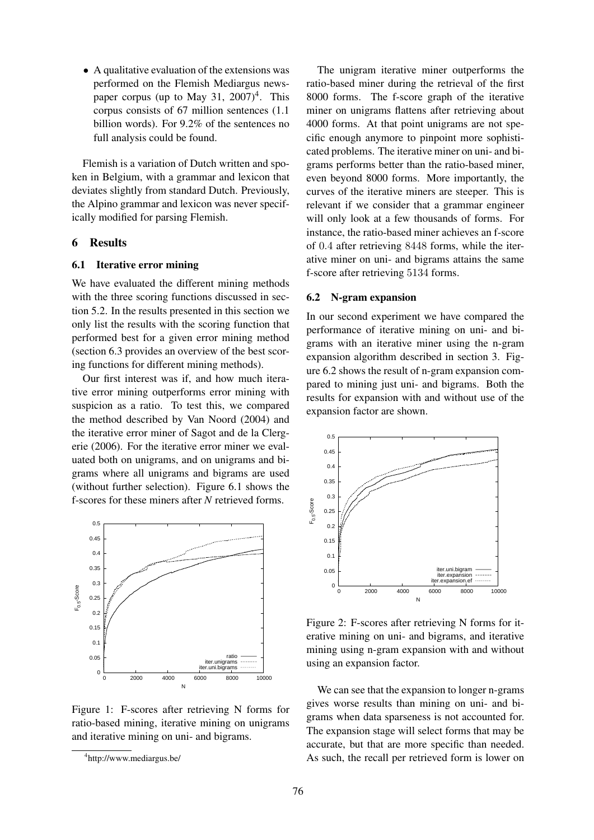• A qualitative evaluation of the extensions was performed on the Flemish Mediargus newspaper corpus (up to May 31,  $2007)^4$ . This corpus consists of 67 million sentences (1.1 billion words). For 9.2% of the sentences no full analysis could be found.

Flemish is a variation of Dutch written and spoken in Belgium, with a grammar and lexicon that deviates slightly from standard Dutch. Previously, the Alpino grammar and lexicon was never specifically modified for parsing Flemish.

### 6 Results

#### 6.1 Iterative error mining

We have evaluated the different mining methods with the three scoring functions discussed in section 5.2. In the results presented in this section we only list the results with the scoring function that performed best for a given error mining method (section 6.3 provides an overview of the best scoring functions for different mining methods).

Our first interest was if, and how much iterative error mining outperforms error mining with suspicion as a ratio. To test this, we compared the method described by Van Noord (2004) and the iterative error miner of Sagot and de la Clergerie (2006). For the iterative error miner we evaluated both on unigrams, and on unigrams and bigrams where all unigrams and bigrams are used (without further selection). Figure 6.1 shows the f-scores for these miners after *N* retrieved forms.



Figure 1: F-scores after retrieving N forms for ratio-based mining, iterative mining on unigrams and iterative mining on uni- and bigrams.

The unigram iterative miner outperforms the ratio-based miner during the retrieval of the first 8000 forms. The f-score graph of the iterative miner on unigrams flattens after retrieving about 4000 forms. At that point unigrams are not specific enough anymore to pinpoint more sophisticated problems. The iterative miner on uni- and bigrams performs better than the ratio-based miner, even beyond 8000 forms. More importantly, the curves of the iterative miners are steeper. This is relevant if we consider that a grammar engineer will only look at a few thousands of forms. For instance, the ratio-based miner achieves an f-score of 0.4 after retrieving 8448 forms, while the iterative miner on uni- and bigrams attains the same f-score after retrieving 5134 forms.

#### 6.2 N-gram expansion

In our second experiment we have compared the performance of iterative mining on uni- and bigrams with an iterative miner using the n-gram expansion algorithm described in section 3. Figure 6.2 shows the result of n-gram expansion compared to mining just uni- and bigrams. Both the results for expansion with and without use of the expansion factor are shown.



Figure 2: F-scores after retrieving N forms for iterative mining on uni- and bigrams, and iterative mining using n-gram expansion with and without using an expansion factor.

We can see that the expansion to longer n-grams gives worse results than mining on uni- and bigrams when data sparseness is not accounted for. The expansion stage will select forms that may be accurate, but that are more specific than needed. As such, the recall per retrieved form is lower on

<sup>4</sup> http://www.mediargus.be/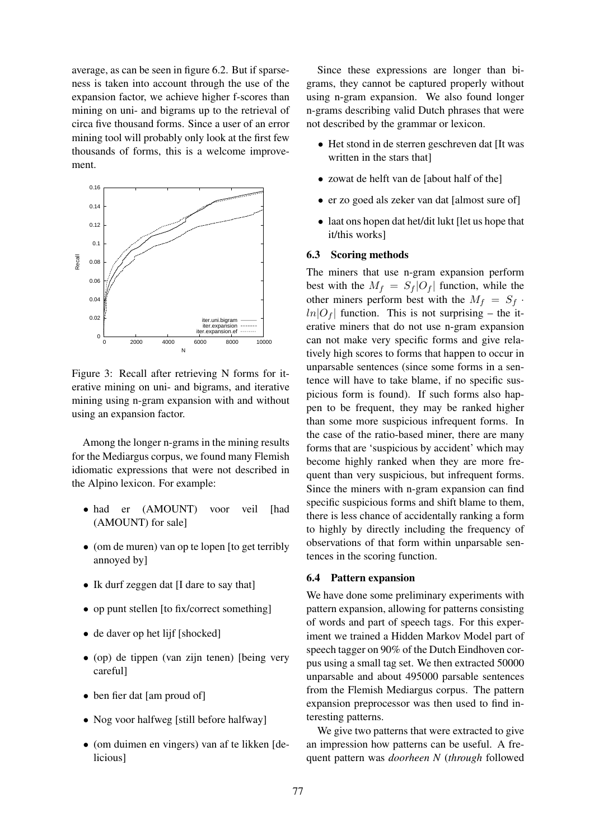average, as can be seen in figure 6.2. But if sparseness is taken into account through the use of the expansion factor, we achieve higher f-scores than mining on uni- and bigrams up to the retrieval of circa five thousand forms. Since a user of an error mining tool will probably only look at the first few thousands of forms, this is a welcome improvement.



Figure 3: Recall after retrieving N forms for iterative mining on uni- and bigrams, and iterative mining using n-gram expansion with and without using an expansion factor.

Among the longer n-grams in the mining results for the Mediargus corpus, we found many Flemish idiomatic expressions that were not described in the Alpino lexicon. For example:

- had er (AMOUNT) voor veil [had (AMOUNT) for sale]
- (om de muren) van op te lopen [to get terribly annoyed by]
- Ik durf zeggen dat II dare to say that
- op punt stellen [to fix/correct something]
- de daver op het lijf [shocked]
- (op) de tippen (van zijn tenen) [being very careful]
- ben fier dat [am proud of]
- Nog voor halfweg [still before halfway]
- (om duimen en vingers) van af te likken [delicious]

Since these expressions are longer than bigrams, they cannot be captured properly without using n-gram expansion. We also found longer n-grams describing valid Dutch phrases that were not described by the grammar or lexicon.

- Het stond in de sterren geschreven dat [It was written in the stars that]
- zowat de helft van de [about half of the]
- er zo goed als zeker van dat [almost sure of]
- laat ons hopen dat het/dit lukt [let us hope that it/this works]

### 6.3 Scoring methods

The miners that use n-gram expansion perform best with the  $M_f = S_f |O_f|$  function, while the other miners perform best with the  $M_f = S_f$ .  $ln|O_f|$  function. This is not surprising – the iterative miners that do not use n-gram expansion can not make very specific forms and give relatively high scores to forms that happen to occur in unparsable sentences (since some forms in a sentence will have to take blame, if no specific suspicious form is found). If such forms also happen to be frequent, they may be ranked higher than some more suspicious infrequent forms. In the case of the ratio-based miner, there are many forms that are 'suspicious by accident' which may become highly ranked when they are more frequent than very suspicious, but infrequent forms. Since the miners with n-gram expansion can find specific suspicious forms and shift blame to them, there is less chance of accidentally ranking a form to highly by directly including the frequency of observations of that form within unparsable sentences in the scoring function.

#### 6.4 Pattern expansion

We have done some preliminary experiments with pattern expansion, allowing for patterns consisting of words and part of speech tags. For this experiment we trained a Hidden Markov Model part of speech tagger on 90% of the Dutch Eindhoven corpus using a small tag set. We then extracted 50000 unparsable and about 495000 parsable sentences from the Flemish Mediargus corpus. The pattern expansion preprocessor was then used to find interesting patterns.

We give two patterns that were extracted to give an impression how patterns can be useful. A frequent pattern was *doorheen N* (*through* followed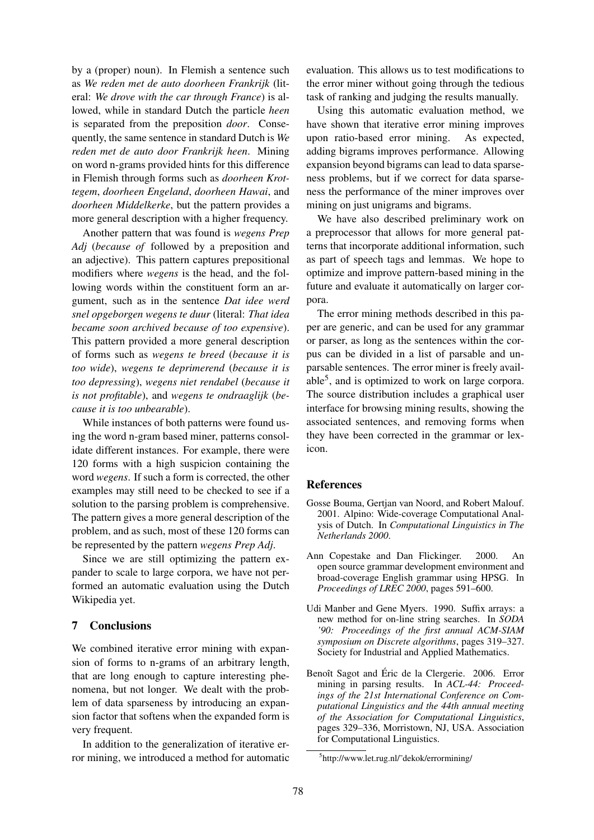by a (proper) noun). In Flemish a sentence such as *We reden met de auto doorheen Frankrijk* (literal: *We drove with the car through France*) is allowed, while in standard Dutch the particle *heen* is separated from the preposition *door*. Consequently, the same sentence in standard Dutch is *We reden met de auto door Frankrijk heen*. Mining on word n-grams provided hints for this difference in Flemish through forms such as *doorheen Krottegem*, *doorheen Engeland*, *doorheen Hawai*, and *doorheen Middelkerke*, but the pattern provides a more general description with a higher frequency.

Another pattern that was found is *wegens Prep Adj* (*because of* followed by a preposition and an adjective). This pattern captures prepositional modifiers where *wegens* is the head, and the following words within the constituent form an argument, such as in the sentence *Dat idee werd snel opgeborgen wegens te duur* (literal: *That idea became soon archived because of too expensive*). This pattern provided a more general description of forms such as *wegens te breed* (*because it is too wide*), *wegens te deprimerend* (*because it is too depressing*), *wegens niet rendabel* (*because it is not profitable*), and *wegens te ondraaglijk* (*because it is too unbearable*).

While instances of both patterns were found using the word n-gram based miner, patterns consolidate different instances. For example, there were 120 forms with a high suspicion containing the word *wegens*. If such a form is corrected, the other examples may still need to be checked to see if a solution to the parsing problem is comprehensive. The pattern gives a more general description of the problem, and as such, most of these 120 forms can be represented by the pattern *wegens Prep Adj*.

Since we are still optimizing the pattern expander to scale to large corpora, we have not performed an automatic evaluation using the Dutch Wikipedia yet.

### 7 Conclusions

We combined iterative error mining with expansion of forms to n-grams of an arbitrary length, that are long enough to capture interesting phenomena, but not longer. We dealt with the problem of data sparseness by introducing an expansion factor that softens when the expanded form is very frequent.

In addition to the generalization of iterative error mining, we introduced a method for automatic evaluation. This allows us to test modifications to the error miner without going through the tedious task of ranking and judging the results manually.

Using this automatic evaluation method, we have shown that iterative error mining improves upon ratio-based error mining. As expected, adding bigrams improves performance. Allowing expansion beyond bigrams can lead to data sparseness problems, but if we correct for data sparseness the performance of the miner improves over mining on just unigrams and bigrams.

We have also described preliminary work on a preprocessor that allows for more general patterns that incorporate additional information, such as part of speech tags and lemmas. We hope to optimize and improve pattern-based mining in the future and evaluate it automatically on larger corpora.

The error mining methods described in this paper are generic, and can be used for any grammar or parser, as long as the sentences within the corpus can be divided in a list of parsable and unparsable sentences. The error miner is freely available<sup>5</sup>, and is optimized to work on large corpora. The source distribution includes a graphical user interface for browsing mining results, showing the associated sentences, and removing forms when they have been corrected in the grammar or lexicon.

# References

- Gosse Bouma, Gertjan van Noord, and Robert Malouf. 2001. Alpino: Wide-coverage Computational Analysis of Dutch. In *Computational Linguistics in The Netherlands 2000*.
- Ann Copestake and Dan Flickinger. 2000. An open source grammar development environment and broad-coverage English grammar using HPSG. In *Proceedings of LREC 2000*, pages 591–600.
- Udi Manber and Gene Myers. 1990. Suffix arrays: a new method for on-line string searches. In *SODA '90: Proceedings of the first annual ACM-SIAM symposium on Discrete algorithms*, pages 319–327. Society for Industrial and Applied Mathematics.
- Benoît Sagot and Éric de la Clergerie. 2006. Error mining in parsing results. In *ACL-44: Proceedings of the 21st International Conference on Computational Linguistics and the 44th annual meeting of the Association for Computational Linguistics*, pages 329–336, Morristown, NJ, USA. Association for Computational Linguistics.

<sup>5</sup> http://www.let.rug.nl/˜dekok/errormining/